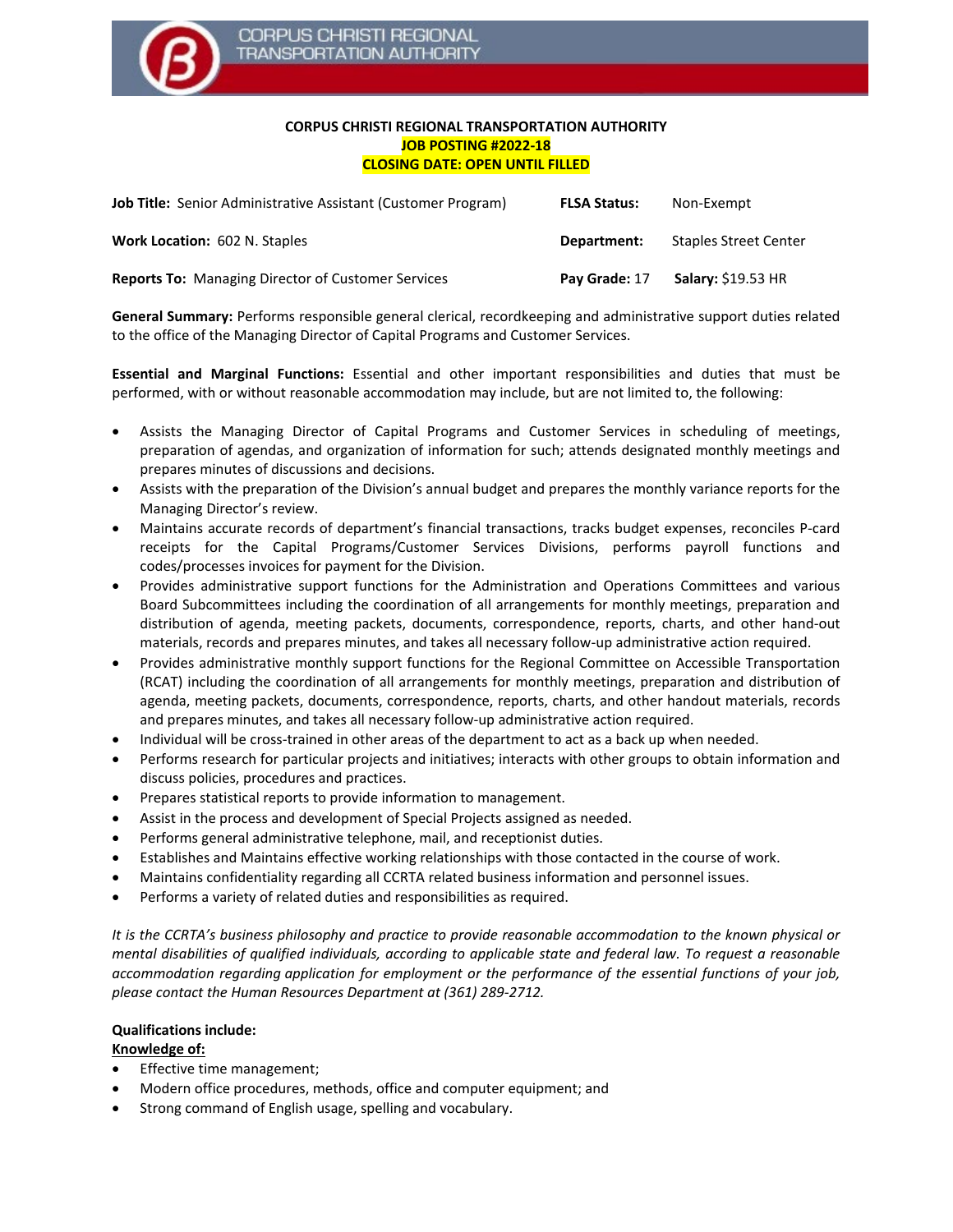

## **CORPUS CHRISTI REGIONAL TRANSPORTATION AUTHORITY JOB POSTING #2022-18 CLOSING DATE: OPEN UNTIL FILLED**

| <b>Job Title:</b> Senior Administrative Assistant (Customer Program) | <b>FLSA Status:</b> | Non-Exempt                   |
|----------------------------------------------------------------------|---------------------|------------------------------|
| <b>Work Location: 602 N. Staples</b>                                 | Department:         | <b>Staples Street Center</b> |
| <b>Reports To: Managing Director of Customer Services</b>            | Pay Grade: 17       | <b>Salary: \$19.53 HR</b>    |

**General Summary:** Performs responsible general clerical, recordkeeping and administrative support duties related to the office of the Managing Director of Capital Programs and Customer Services.

**Essential and Marginal Functions:** Essential and other important responsibilities and duties that must be performed, with or without reasonable accommodation may include, but are not limited to, the following:

- Assists the Managing Director of Capital Programs and Customer Services in scheduling of meetings, preparation of agendas, and organization of information for such; attends designated monthly meetings and prepares minutes of discussions and decisions.
- Assists with the preparation of the Division's annual budget and prepares the monthly variance reports for the Managing Director's review.
- Maintains accurate records of department's financial transactions, tracks budget expenses, reconciles P-card receipts for the Capital Programs/Customer Services Divisions, performs payroll functions and codes/processes invoices for payment for the Division.
- Provides administrative support functions for the Administration and Operations Committees and various Board Subcommittees including the coordination of all arrangements for monthly meetings, preparation and distribution of agenda, meeting packets, documents, correspondence, reports, charts, and other hand-out materials, records and prepares minutes, and takes all necessary follow-up administrative action required.
- Provides administrative monthly support functions for the Regional Committee on Accessible Transportation (RCAT) including the coordination of all arrangements for monthly meetings, preparation and distribution of agenda, meeting packets, documents, correspondence, reports, charts, and other handout materials, records and prepares minutes, and takes all necessary follow-up administrative action required.
- Individual will be cross-trained in other areas of the department to act as a back up when needed.
- Performs research for particular projects and initiatives; interacts with other groups to obtain information and discuss policies, procedures and practices.
- Prepares statistical reports to provide information to management.
- Assist in the process and development of Special Projects assigned as needed.
- Performs general administrative telephone, mail, and receptionist duties.
- Establishes and Maintains effective working relationships with those contacted in the course of work.
- Maintains confidentiality regarding all CCRTA related business information and personnel issues.
- Performs a variety of related duties and responsibilities as required.

*It is the CCRTA's business philosophy and practice to provide reasonable accommodation to the known physical or mental disabilities of qualified individuals, according to applicable state and federal law. To request a reasonable accommodation regarding application for employment or the performance of the essential functions of your job, please contact the Human Resources Department at (361) 289-2712.*

## **Qualifications include:**

## **Knowledge of:**

- Effective time management;
- Modern office procedures, methods, office and computer equipment; and
- Strong command of English usage, spelling and vocabulary.